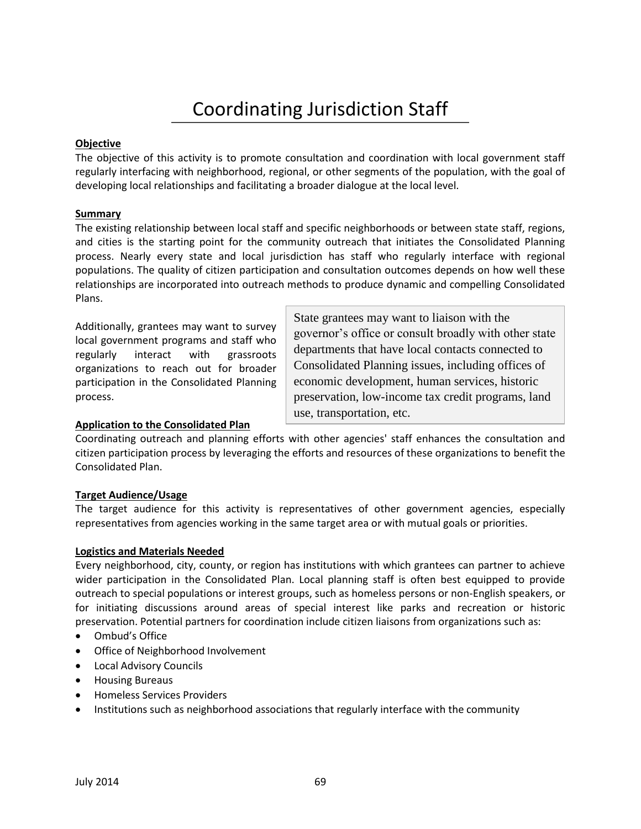# Coordinating Jurisdiction Staff

### **Objective**

The objective of this activity is to promote consultation and coordination with local government staff regularly interfacing with neighborhood, regional, or other segments of the population, with the goal of developing local relationships and facilitating a broader dialogue at the local level.

### **Summary**

The existing relationship between local staff and specific neighborhoods or between state staff, regions, and cities is the starting point for the community outreach that initiates the Consolidated Planning process. Nearly every state and local jurisdiction has staff who regularly interface with regional populations. The quality of citizen participation and consultation outcomes depends on how well these relationships are incorporated into outreach methods to produce dynamic and compelling Consolidated Plans.

Additionally, grantees may want to survey local government programs and staff who regularly interact with grassroots organizations to reach out for broader participation in the Consolidated Planning process.

**Application to the Consolidated Plan** 

State grantees may want to liaison with the governor's office or consult broadly with other state departments that have local contacts connected to Consolidated Planning issues, including offices of economic development, human services, historic preservation, low-income tax credit programs, land use, transportation, etc.

Coordinating outreach and planning efforts with other agencies' staff enhances the consultation and citizen participation process by leveraging the efforts and resources of these organizations to benefit the Consolidated Plan.

## **Target Audience/Usage**

The target audience for this activity is representatives of other government agencies, especially representatives from agencies working in the same target area or with mutual goals or priorities.

#### **Logistics and Materials Needed**

Every neighborhood, city, county, or region has institutions with which grantees can partner to achieve wider participation in the Consolidated Plan. Local planning staff is often best equipped to provide outreach to special populations or interest groups, such as homeless persons or non-English speakers, or for initiating discussions around areas of special interest like parks and recreation or historic preservation. Potential partners for coordination include citizen liaisons from organizations such as:

- Ombud's Office
- Office of Neighborhood Involvement
- Local Advisory Councils
- **•** Housing Bureaus
- Homeless Services Providers
- Institutions such as neighborhood associations that regularly interface with the community